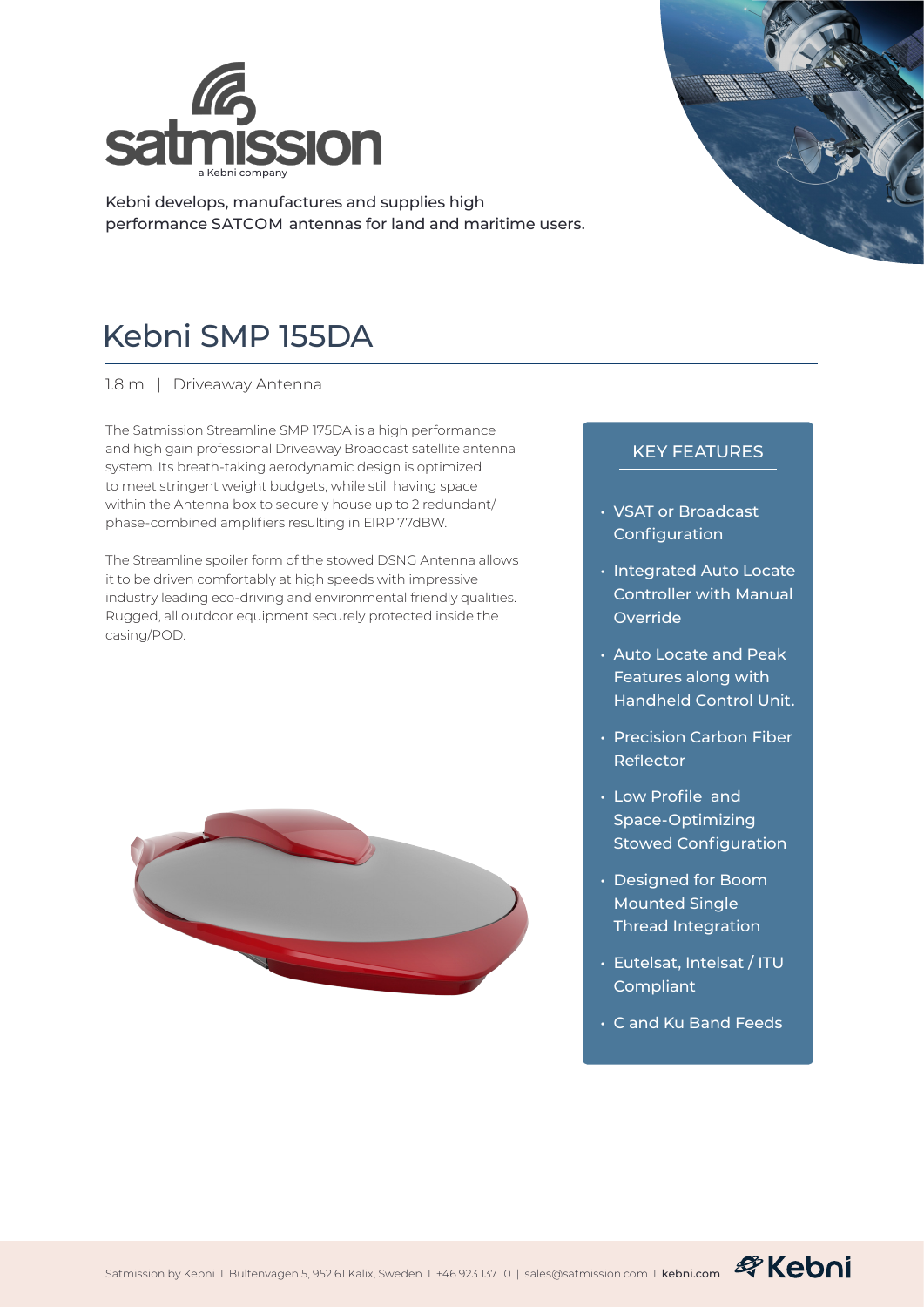

Kebni develops, manufactures and supplies high performance SATCOM antennas for land and maritime users.



## Kebni SMP 155DA

1.8 m | Driveaway Antenna

The Satmission Streamline SMP 175DA is a high performance and high gain professional Driveaway Broadcast satellite antenna system. Its breath-taking aerodynamic design is optimized to meet stringent weight budgets, while still having space within the Antenna box to securely house up to 2 redundant/ phase-combined amplifiers resulting in EIRP 77dBW.

The Streamline spoiler form of the stowed DSNG Antenna allows it to be driven comfortably at high speeds with impressive industry leading eco-driving and environmental friendly qualities. Rugged, all outdoor equipment securely protected inside the casing/POD.



## KEY FEATURES

- VSAT or Broadcast Configuration
- Integrated Auto Locate Controller with Manual Override
- Auto Locate and Peak Features along with Handheld Control Unit.
- Precision Carbon Fiber Reflector
- Low Profile and Space-Optimizing Stowed Configuration
- Designed for Boom Mounted Single Thread Integration
- Eutelsat, Intelsat / ITU Compliant
- C and Ku Band Feeds